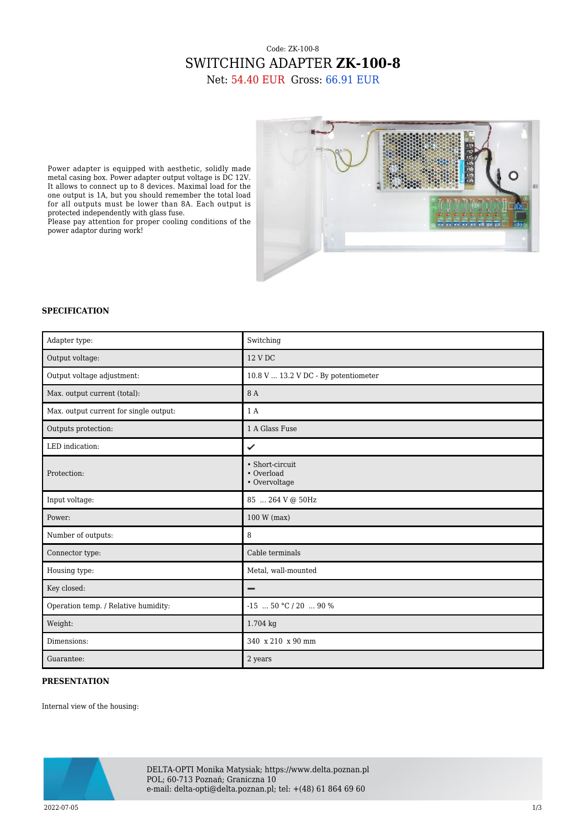## Code: ZK-100-8 SWITCHING ADAPTER **ZK-100-8** Net: 54.40 EUR Gross: 66.91 EUR



## **SPECIFICATION**

protected independently with glass fuse.

power adaptor during work!

| Adapter type:                          | Switching                                      |
|----------------------------------------|------------------------------------------------|
| Output voltage:                        | 12 V DC                                        |
| Output voltage adjustment:             | 10.8 V  13.2 V DC - By potentiometer           |
| Max. output current (total):           | 8 A                                            |
| Max. output current for single output: | 1 A                                            |
| Outputs protection:                    | 1 A Glass Fuse                                 |
| LED indication:                        | ✓                                              |
| Protection:                            | • Short-circuit<br>• Overload<br>• Overvoltage |
| Input voltage:                         | 85  264 V @ 50Hz                               |
| Power:                                 | 100 W (max)                                    |
| Number of outputs:                     | 8                                              |
| Connector type:                        | Cable terminals                                |
| Housing type:                          | Metal, wall-mounted                            |
| Key closed:                            | -                                              |
| Operation temp. / Relative humidity:   | $-15$ 50 °C / 20  90 %                         |
| Weight:                                | 1.704 kg                                       |
| Dimensions:                            | 340 x 210 x 90 mm                              |
| Guarantee:                             | 2 years                                        |

## **PRESENTATION**

Internal view of the housing:



DELTA-OPTI Monika Matysiak; https://www.delta.poznan.pl POL; 60-713 Poznań; Graniczna 10 e-mail: delta-opti@delta.poznan.pl; tel: +(48) 61 864 69 60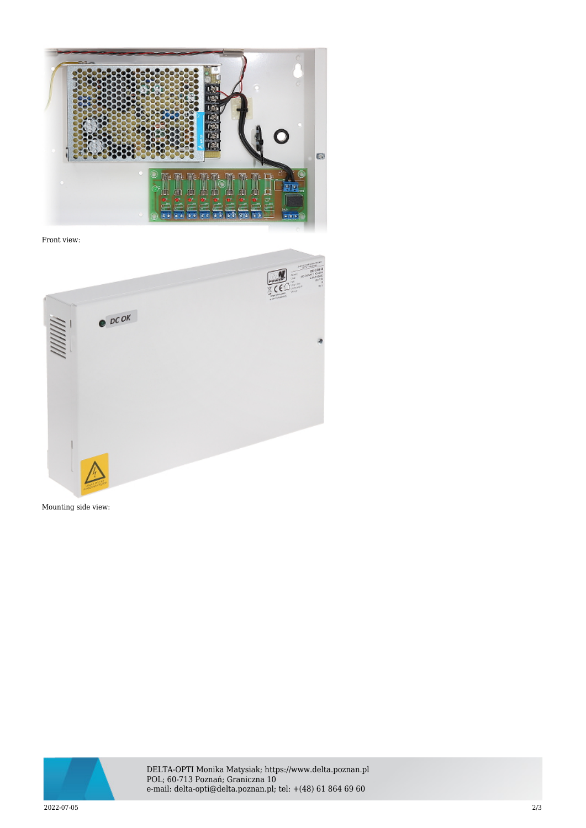

Front view:



Mounting side view:



DELTA-OPTI Monika Matysiak; https://www.delta.poznan.pl POL; 60-713 Poznań; Graniczna 10 e-mail: delta-opti@delta.poznan.pl; tel: +(48) 61 864 69 60

2022-07-05 2/3